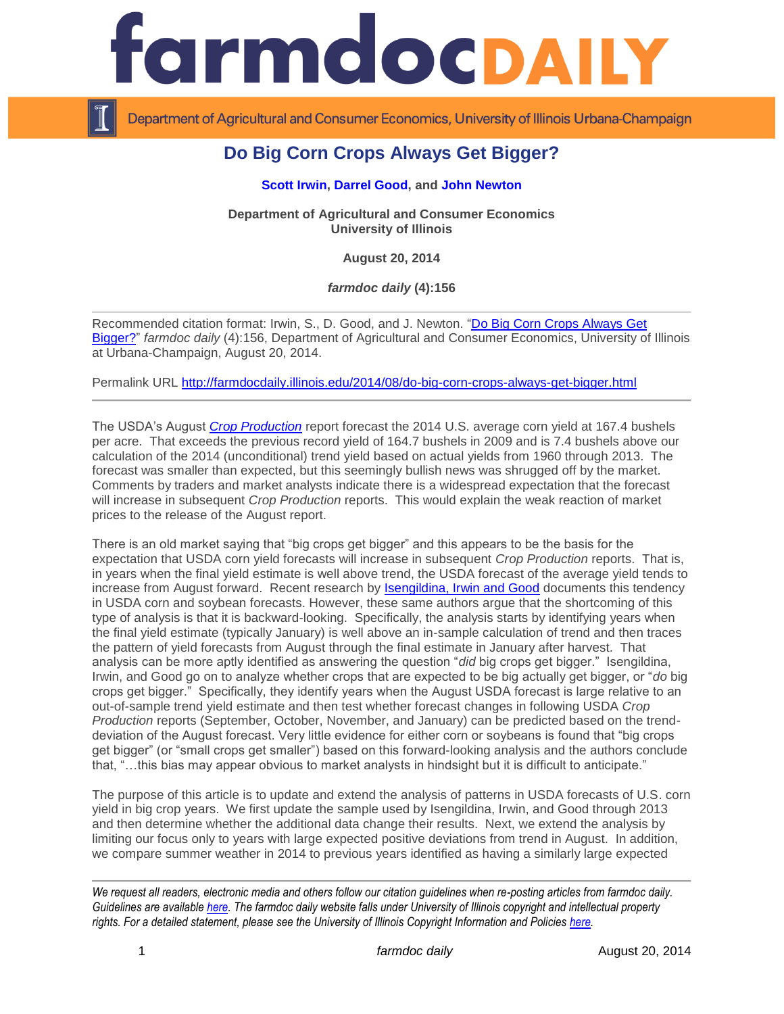

Department of Agricultural and Consumer Economics, University of Illinois Urbana-Champaign

## **Do Big Corn Crops Always Get Bigger?**

## **[Scott Irwin,](http://farmdoc.illinois.edu/irwin) [Darrel Good,](http://farmdoc.illinois.edu/good) and [John Newton](http://farmdoc.illinois.edu/newton)**

**Department of Agricultural and Consumer Economics University of Illinois**

**August 20, 2014**

*farmdoc daily* **(4):156**

Recommended citation format: Irwin, S., D. Good, and J. Newton. ["Do Big Corn Crops Always Get](http://farmdocdaily.illinois.edu/2014/08/do-big-corn-crops-always-get-bigger.html)  [Bigger?"](http://farmdocdaily.illinois.edu/2014/08/do-big-corn-crops-always-get-bigger.html) *farmdoc daily* (4):156, Department of Agricultural and Consumer Economics, University of Illinois at Urbana-Champaign, August 20, 2014.

Permalink URL <http://farmdocdaily.illinois.edu/2014/08/do-big-corn-crops-always-get-bigger.html>

The USDA's August *[Crop Production](http://usda.mannlib.cornell.edu/usda/current/CropProd/CropProd-08-12-2014.pdf)* report forecast the 2014 U.S. average corn yield at 167.4 bushels per acre. That exceeds the previous record yield of 164.7 bushels in 2009 and is 7.4 bushels above our calculation of the 2014 (unconditional) trend yield based on actual yields from 1960 through 2013. The forecast was smaller than expected, but this seemingly bullish news was shrugged off by the market. Comments by traders and market analysts indicate there is a widespread expectation that the forecast will increase in subsequent *Crop Production* reports. This would explain the weak reaction of market prices to the release of the August report.

There is an old market saying that "big crops get bigger" and this appears to be the basis for the expectation that USDA corn yield forecasts will increase in subsequent *Crop Production* reports. That is, in years when the final yield estimate is well above trend, the USDA forecast of the average yield tends to increase from August forward. Recent research by [Isengildina, Irwin and Good](http://ageconsearch.umn.edu/handle/143639) documents this tendency in USDA corn and soybean forecasts. However, these same authors argue that the shortcoming of this type of analysis is that it is backward-looking. Specifically, the analysis starts by identifying years when the final yield estimate (typically January) is well above an in-sample calculation of trend and then traces the pattern of yield forecasts from August through the final estimate in January after harvest. That analysis can be more aptly identified as answering the question "*did* big crops get bigger." Isengildina, Irwin, and Good go on to analyze whether crops that are expected to be big actually get bigger, or "*do* big crops get bigger." Specifically, they identify years when the August USDA forecast is large relative to an out-of-sample trend yield estimate and then test whether forecast changes in following USDA *Crop Production* reports (September, October, November, and January) can be predicted based on the trenddeviation of the August forecast. Very little evidence for either corn or soybeans is found that "big crops get bigger" (or "small crops get smaller") based on this forward-looking analysis and the authors conclude that, "…this bias may appear obvious to market analysts in hindsight but it is difficult to anticipate."

The purpose of this article is to update and extend the analysis of patterns in USDA forecasts of U.S. corn yield in big crop years. We first update the sample used by Isengildina, Irwin, and Good through 2013 and then determine whether the additional data change their results. Next, we extend the analysis by limiting our focus only to years with large expected positive deviations from trend in August. In addition, we compare summer weather in 2014 to previous years identified as having a similarly large expected

*We request all readers, electronic media and others follow our citation guidelines when re-posting articles from farmdoc daily. Guidelines are available [here.](http://farmdocdaily.illinois.edu/citationguide.html) The farmdoc daily website falls under University of Illinois copyright and intellectual property rights. For a detailed statement, please see the University of Illinois Copyright Information and Policies [here.](http://www.cio.illinois.edu/policies/copyright/)*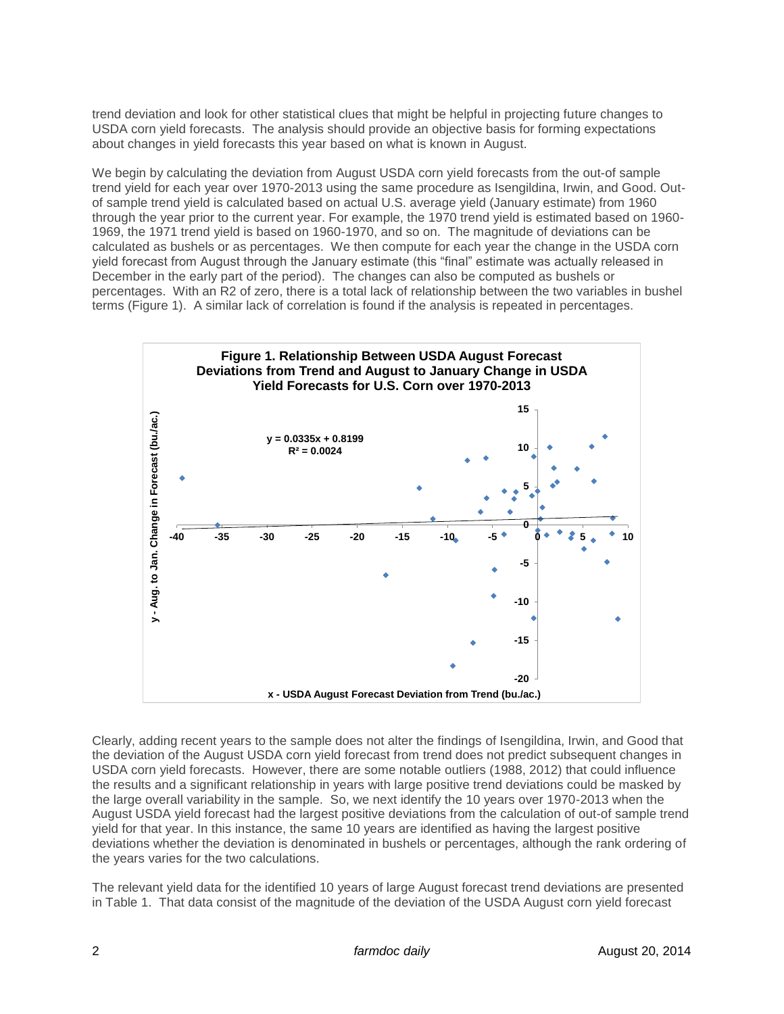trend deviation and look for other statistical clues that might be helpful in projecting future changes to USDA corn yield forecasts. The analysis should provide an objective basis for forming expectations about changes in yield forecasts this year based on what is known in August.

We begin by calculating the deviation from August USDA corn yield forecasts from the out-of sample trend yield for each year over 1970-2013 using the same procedure as Isengildina, Irwin, and Good. Outof sample trend yield is calculated based on actual U.S. average yield (January estimate) from 1960 through the year prior to the current year. For example, the 1970 trend yield is estimated based on 1960- 1969, the 1971 trend yield is based on 1960-1970, and so on. The magnitude of deviations can be calculated as bushels or as percentages. We then compute for each year the change in the USDA corn yield forecast from August through the January estimate (this "final" estimate was actually released in December in the early part of the period). The changes can also be computed as bushels or percentages. With an R2 of zero, there is a total lack of relationship between the two variables in bushel terms (Figure 1). A similar lack of correlation is found if the analysis is repeated in percentages.



Clearly, adding recent years to the sample does not alter the findings of Isengildina, Irwin, and Good that the deviation of the August USDA corn yield forecast from trend does not predict subsequent changes in USDA corn yield forecasts. However, there are some notable outliers (1988, 2012) that could influence the results and a significant relationship in years with large positive trend deviations could be masked by the large overall variability in the sample. So, we next identify the 10 years over 1970-2013 when the August USDA yield forecast had the largest positive deviations from the calculation of out-of sample trend yield for that year. In this instance, the same 10 years are identified as having the largest positive deviations whether the deviation is denominated in bushels or percentages, although the rank ordering of the years varies for the two calculations.

The relevant yield data for the identified 10 years of large August forecast trend deviations are presented in Table 1. That data consist of the magnitude of the deviation of the USDA August corn yield forecast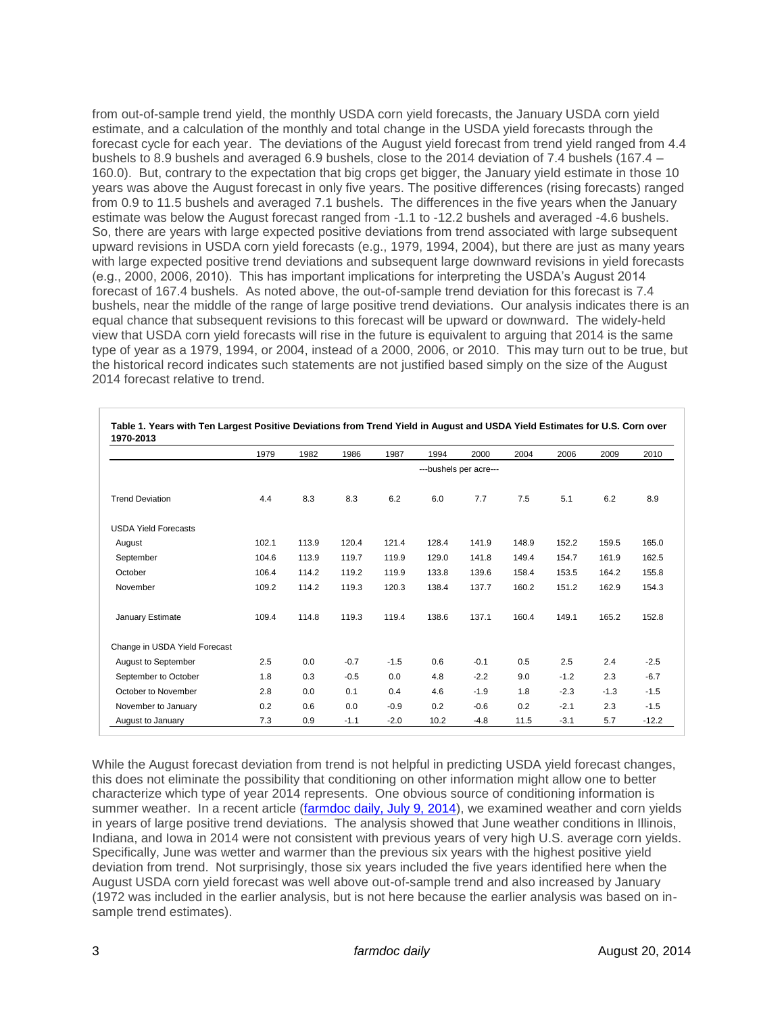from out-of-sample trend yield, the monthly USDA corn yield forecasts, the January USDA corn yield estimate, and a calculation of the monthly and total change in the USDA yield forecasts through the forecast cycle for each year. The deviations of the August yield forecast from trend yield ranged from 4.4 bushels to 8.9 bushels and averaged 6.9 bushels, close to the 2014 deviation of 7.4 bushels (167.4 – 160.0). But, contrary to the expectation that big crops get bigger, the January yield estimate in those 10 years was above the August forecast in only five years. The positive differences (rising forecasts) ranged from 0.9 to 11.5 bushels and averaged 7.1 bushels. The differences in the five years when the January estimate was below the August forecast ranged from -1.1 to -12.2 bushels and averaged -4.6 bushels. So, there are years with large expected positive deviations from trend associated with large subsequent upward revisions in USDA corn yield forecasts (e.g., 1979, 1994, 2004), but there are just as many years with large expected positive trend deviations and subsequent large downward revisions in yield forecasts (e.g., 2000, 2006, 2010). This has important implications for interpreting the USDA's August 2014 forecast of 167.4 bushels. As noted above, the out-of-sample trend deviation for this forecast is 7.4 bushels, near the middle of the range of large positive trend deviations. Our analysis indicates there is an equal chance that subsequent revisions to this forecast will be upward or downward. The widely-held view that USDA corn yield forecasts will rise in the future is equivalent to arguing that 2014 is the same type of year as a 1979, 1994, or 2004, instead of a 2000, 2006, or 2010. This may turn out to be true, but the historical record indicates such statements are not justified based simply on the size of the August 2014 forecast relative to trend.

|                               | 1979                   | 1982  | 1986   | 1987   | 1994  | 2000   | 2004  | 2006   | 2009   | 2010    |
|-------------------------------|------------------------|-------|--------|--------|-------|--------|-------|--------|--------|---------|
|                               | ---bushels per acre--- |       |        |        |       |        |       |        |        |         |
| <b>Trend Deviation</b>        | 4.4                    | 8.3   | 8.3    | 6.2    | 6.0   | 7.7    | 7.5   | 5.1    | 6.2    | 8.9     |
| <b>USDA Yield Forecasts</b>   |                        |       |        |        |       |        |       |        |        |         |
| August                        | 102.1                  | 113.9 | 120.4  | 121.4  | 128.4 | 141.9  | 148.9 | 152.2  | 159.5  | 165.0   |
| September                     | 104.6                  | 113.9 | 119.7  | 119.9  | 129.0 | 141.8  | 149.4 | 154.7  | 161.9  | 162.5   |
| October                       | 106.4                  | 114.2 | 119.2  | 119.9  | 133.8 | 139.6  | 158.4 | 153.5  | 164.2  | 155.8   |
| November                      | 109.2                  | 114.2 | 119.3  | 120.3  | 138.4 | 137.7  | 160.2 | 151.2  | 162.9  | 154.3   |
| January Estimate              | 109.4                  | 114.8 | 119.3  | 119.4  | 138.6 | 137.1  | 160.4 | 149.1  | 165.2  | 152.8   |
| Change in USDA Yield Forecast |                        |       |        |        |       |        |       |        |        |         |
| <b>August to September</b>    | 2.5                    | 0.0   | $-0.7$ | $-1.5$ | 0.6   | $-0.1$ | 0.5   | 2.5    | 2.4    | $-2.5$  |
| September to October          | 1.8                    | 0.3   | $-0.5$ | 0.0    | 4.8   | $-2.2$ | 9.0   | $-1.2$ | 2.3    | $-6.7$  |
| October to November           | 2.8                    | 0.0   | 0.1    | 0.4    | 4.6   | $-1.9$ | 1.8   | $-2.3$ | $-1.3$ | $-1.5$  |
| November to January           | 0.2                    | 0.6   | 0.0    | $-0.9$ | 0.2   | $-0.6$ | 0.2   | $-2.1$ | 2.3    | $-1.5$  |
| August to January             | 7.3                    | 0.9   | $-1.1$ | $-2.0$ | 10.2  | $-4.8$ | 11.5  | $-3.1$ | 5.7    | $-12.2$ |

| Table 1. Years with Ten Largest Positive Deviations from Trend Yield in August and USDA Yield Estimates for U.S. Corn over |
|----------------------------------------------------------------------------------------------------------------------------|
| 1970-2013                                                                                                                  |

While the August forecast deviation from trend is not helpful in predicting USDA yield forecast changes, this does not eliminate the possibility that conditioning on other information might allow one to better characterize which type of year 2014 represents. One obvious source of conditioning information is summer weather. In a recent article [\(farmdoc daily, July 9, 2014\)](http://farmdocdaily.illinois.edu/2014/07/2014-us-average-corn-yield-big-or-really-big.html), we examined weather and corn yields in years of large positive trend deviations. The analysis showed that June weather conditions in Illinois, Indiana, and Iowa in 2014 were not consistent with previous years of very high U.S. average corn yields. Specifically, June was wetter and warmer than the previous six years with the highest positive yield deviation from trend. Not surprisingly, those six years included the five years identified here when the August USDA corn yield forecast was well above out-of-sample trend and also increased by January (1972 was included in the earlier analysis, but is not here because the earlier analysis was based on insample trend estimates).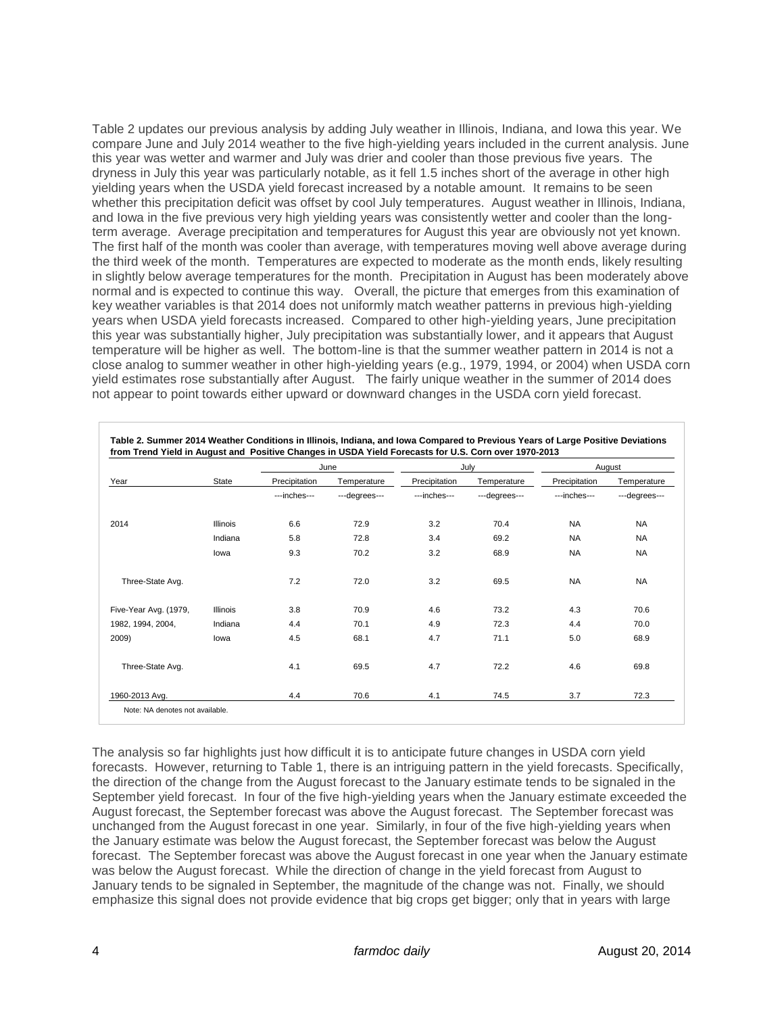Table 2 updates our previous analysis by adding July weather in Illinois, Indiana, and Iowa this year. We compare June and July 2014 weather to the five high-yielding years included in the current analysis. June this year was wetter and warmer and July was drier and cooler than those previous five years. The dryness in July this year was particularly notable, as it fell 1.5 inches short of the average in other high yielding years when the USDA yield forecast increased by a notable amount. It remains to be seen whether this precipitation deficit was offset by cool July temperatures. August weather in Illinois, Indiana, and Iowa in the five previous very high yielding years was consistently wetter and cooler than the longterm average. Average precipitation and temperatures for August this year are obviously not yet known. The first half of the month was cooler than average, with temperatures moving well above average during the third week of the month. Temperatures are expected to moderate as the month ends, likely resulting in slightly below average temperatures for the month. Precipitation in August has been moderately above normal and is expected to continue this way. Overall, the picture that emerges from this examination of key weather variables is that 2014 does not uniformly match weather patterns in previous high-yielding years when USDA yield forecasts increased. Compared to other high-yielding years, June precipitation this year was substantially higher, July precipitation was substantially lower, and it appears that August temperature will be higher as well. The bottom-line is that the summer weather pattern in 2014 is not a close analog to summer weather in other high-yielding years (e.g., 1979, 1994, or 2004) when USDA corn yield estimates rose substantially after August. The fairly unique weather in the summer of 2014 does not appear to point towards either upward or downward changes in the USDA corn yield forecast.

| Year                  |                 |               | June          |               | July          | August        |               |  |
|-----------------------|-----------------|---------------|---------------|---------------|---------------|---------------|---------------|--|
|                       | State           | Precipitation | Temperature   | Precipitation | Temperature   | Precipitation | Temperature   |  |
|                       |                 | ---inches---  | ---degrees--- | ---inches---  | ---degrees--- | ---inches---  | ---degrees--- |  |
| 2014                  | <b>Illinois</b> | 6.6           | 72.9          | 3.2           | 70.4          | <b>NA</b>     | <b>NA</b>     |  |
|                       | Indiana         | 5.8           | 72.8          | 3.4           | 69.2          | <b>NA</b>     | <b>NA</b>     |  |
|                       | lowa            | 9.3           | 70.2          | 3.2           | 68.9          | <b>NA</b>     | <b>NA</b>     |  |
| Three-State Avg.      |                 | 7.2           | 72.0          | 3.2           | 69.5          | <b>NA</b>     | <b>NA</b>     |  |
| Five-Year Avg. (1979, | <b>Illinois</b> | 3.8           | 70.9          | 4.6           | 73.2          | 4.3           | 70.6          |  |
| 1982, 1994, 2004,     | Indiana         | 4.4           | 70.1          | 4.9           | 72.3          | 4.4           | 70.0          |  |
| 2009)                 | lowa            | 4.5           | 68.1          | 4.7           | 71.1          | 5.0           | 68.9          |  |
| Three-State Avg.      |                 | 4.1           | 69.5          | 4.7           | 72.2          | 4.6           | 69.8          |  |
| 1960-2013 Avg.        |                 | 4.4           | 70.6          | 4.1           | 74.5          | 3.7           | 72.3          |  |

**Table 2. Summer 2014 Weather Conditions in Illinois, Indiana, and Iowa Compared to Previous Years of Large Positive Deviations** 

The analysis so far highlights just how difficult it is to anticipate future changes in USDA corn yield forecasts. However, returning to Table 1, there is an intriguing pattern in the yield forecasts. Specifically, the direction of the change from the August forecast to the January estimate tends to be signaled in the September yield forecast. In four of the five high-yielding years when the January estimate exceeded the August forecast, the September forecast was above the August forecast. The September forecast was unchanged from the August forecast in one year. Similarly, in four of the five high-yielding years when the January estimate was below the August forecast, the September forecast was below the August forecast. The September forecast was above the August forecast in one year when the January estimate was below the August forecast. While the direction of change in the yield forecast from August to January tends to be signaled in September, the magnitude of the change was not. Finally, we should emphasize this signal does not provide evidence that big crops get bigger; only that in years with large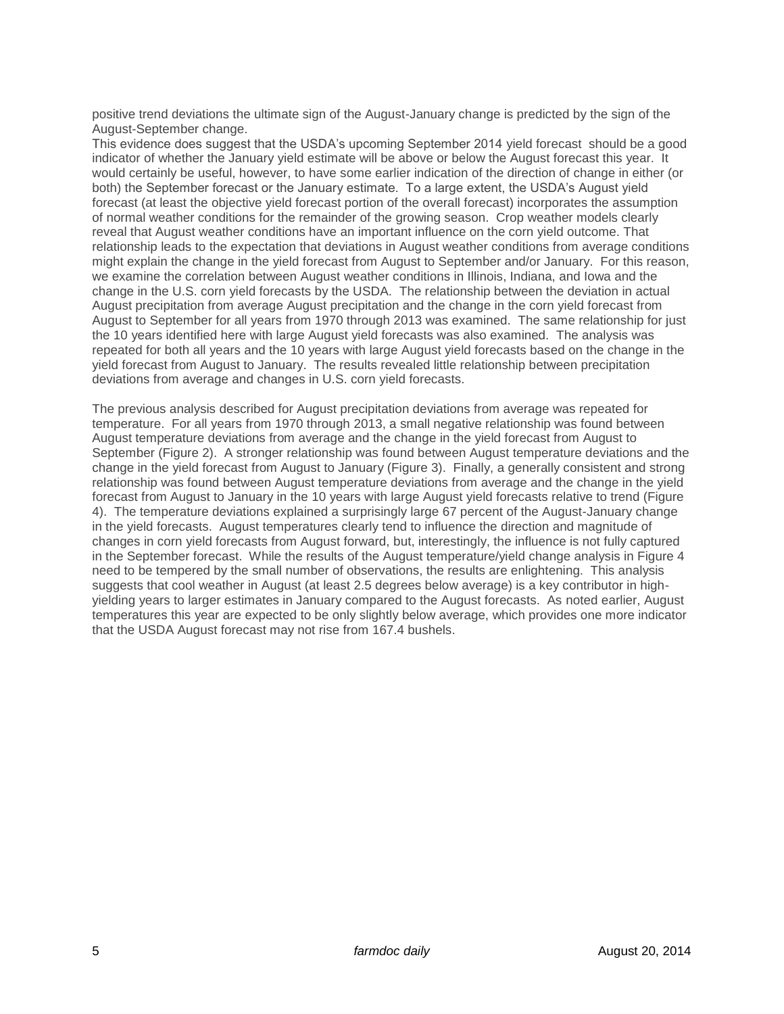positive trend deviations the ultimate sign of the August-January change is predicted by the sign of the August-September change.

This evidence does suggest that the USDA's upcoming September 2014 yield forecast should be a good indicator of whether the January yield estimate will be above or below the August forecast this year. It would certainly be useful, however, to have some earlier indication of the direction of change in either (or both) the September forecast or the January estimate. To a large extent, the USDA's August yield forecast (at least the objective yield forecast portion of the overall forecast) incorporates the assumption of normal weather conditions for the remainder of the growing season. Crop weather models clearly reveal that August weather conditions have an important influence on the corn yield outcome. That relationship leads to the expectation that deviations in August weather conditions from average conditions might explain the change in the yield forecast from August to September and/or January. For this reason, we examine the correlation between August weather conditions in Illinois, Indiana, and Iowa and the change in the U.S. corn yield forecasts by the USDA. The relationship between the deviation in actual August precipitation from average August precipitation and the change in the corn yield forecast from August to September for all years from 1970 through 2013 was examined. The same relationship for just the 10 years identified here with large August yield forecasts was also examined. The analysis was repeated for both all years and the 10 years with large August yield forecasts based on the change in the yield forecast from August to January. The results revealed little relationship between precipitation deviations from average and changes in U.S. corn yield forecasts.

The previous analysis described for August precipitation deviations from average was repeated for temperature. For all years from 1970 through 2013, a small negative relationship was found between August temperature deviations from average and the change in the yield forecast from August to September (Figure 2). A stronger relationship was found between August temperature deviations and the change in the yield forecast from August to January (Figure 3). Finally, a generally consistent and strong relationship was found between August temperature deviations from average and the change in the yield forecast from August to January in the 10 years with large August yield forecasts relative to trend (Figure 4). The temperature deviations explained a surprisingly large 67 percent of the August-January change in the yield forecasts. August temperatures clearly tend to influence the direction and magnitude of changes in corn yield forecasts from August forward, but, interestingly, the influence is not fully captured in the September forecast. While the results of the August temperature/yield change analysis in Figure 4 need to be tempered by the small number of observations, the results are enlightening. This analysis suggests that cool weather in August (at least 2.5 degrees below average) is a key contributor in highyielding years to larger estimates in January compared to the August forecasts. As noted earlier, August temperatures this year are expected to be only slightly below average, which provides one more indicator that the USDA August forecast may not rise from 167.4 bushels.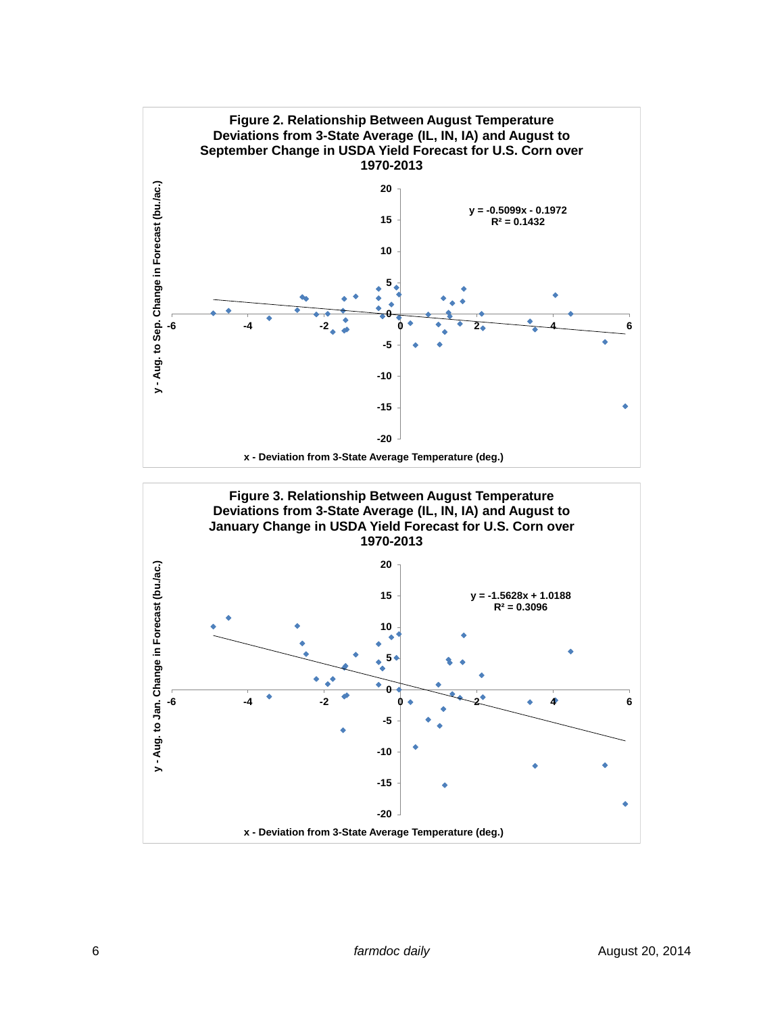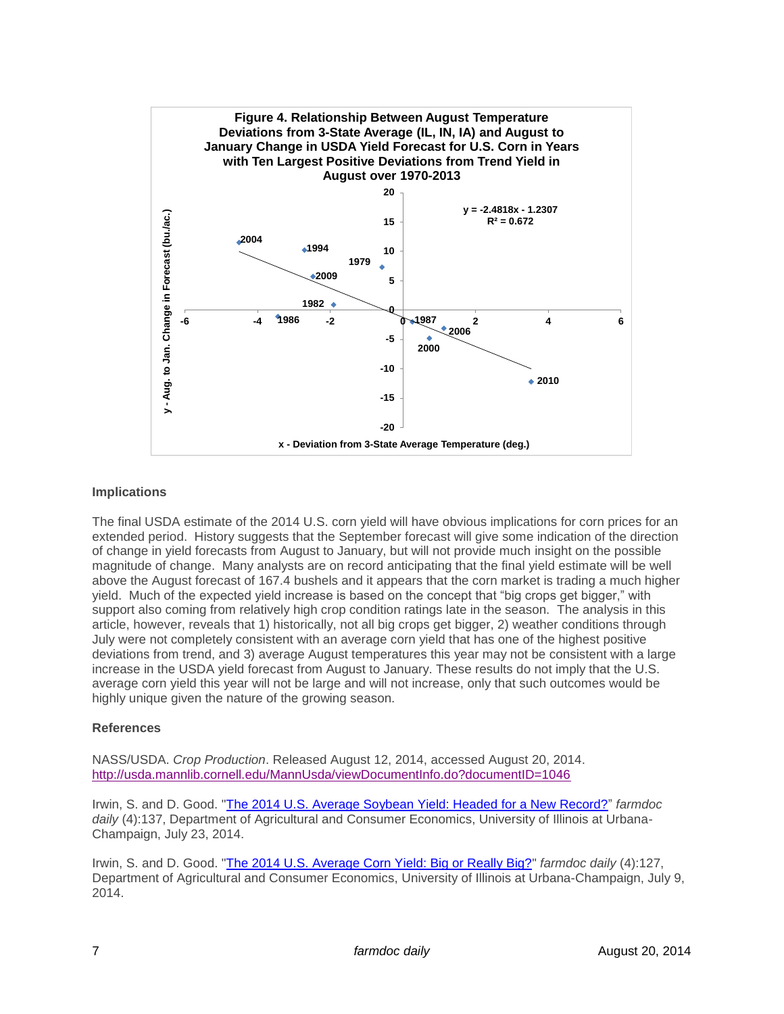![](_page_6_Figure_0.jpeg)

## **Implications**

The final USDA estimate of the 2014 U.S. corn yield will have obvious implications for corn prices for an extended period. History suggests that the September forecast will give some indication of the direction of change in yield forecasts from August to January, but will not provide much insight on the possible magnitude of change. Many analysts are on record anticipating that the final yield estimate will be well above the August forecast of 167.4 bushels and it appears that the corn market is trading a much higher yield. Much of the expected yield increase is based on the concept that "big crops get bigger," with support also coming from relatively high crop condition ratings late in the season. The analysis in this article, however, reveals that 1) historically, not all big crops get bigger, 2) weather conditions through July were not completely consistent with an average corn yield that has one of the highest positive deviations from trend, and 3) average August temperatures this year may not be consistent with a large increase in the USDA yield forecast from August to January. These results do not imply that the U.S. average corn yield this year will not be large and will not increase, only that such outcomes would be highly unique given the nature of the growing season.

## **References**

NASS/USDA. *Crop Production*. Released August 12, 2014, accessed August 20, 2014. <http://usda.mannlib.cornell.edu/MannUsda/viewDocumentInfo.do?documentID=1046>

Irwin, S. and D. Good. ["The 2014 U.S. Average Soybean Yield: Headed for a New Record?"](http://farmdocdaily.illinois.edu/2014/07/2014-us-average-soybean-yield.html) *farmdoc daily* (4):137, Department of Agricultural and Consumer Economics, University of Illinois at Urbana-Champaign, July 23, 2014.

Irwin, S. and D. Good. ["The 2014 U.S. Average Corn Yield: Big or Really Big?"](http://farmdocdaily.illinois.edu/2014/07/2014-us-average-corn-yield-big-or-really-big.html) *farmdoc daily* (4):127, Department of Agricultural and Consumer Economics, University of Illinois at Urbana-Champaign, July 9, 2014.